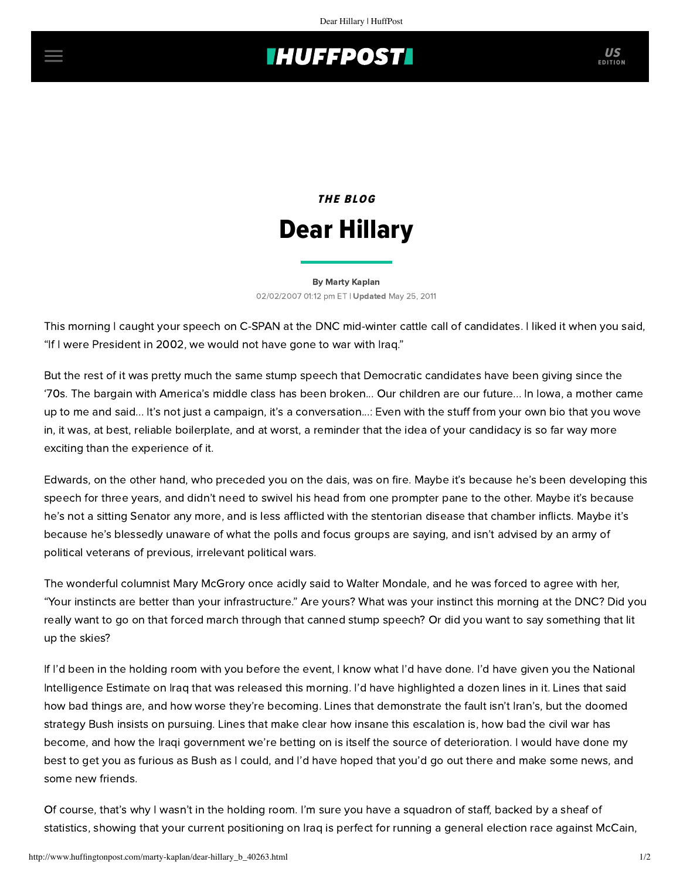## **INUFFPOSTI** US

# THE BLOG Dear Hillary

### [By Marty Kaplan](http://www.huffingtonpost.com/author/marty-kaplan) 02/02/2007 01:12 pm ET | Updated May 25, 2011

This morning I caught your speech on C-SPAN at the DNC mid-winter cattle call of candidates. I liked it when you said, "If I were President in 2002, we would not have gone to war with Iraq."

But the rest of it was pretty much the same stump speech that Democratic candidates have been giving since the '70s. The bargain with America's middle class has been broken... Our children are our future... In Iowa, a mother came up to me and said... It's not just a campaign, it's a conversation...: Even with the stuff from your own bio that you wove in, it was, at best, reliable boilerplate, and at worst, a reminder that the idea of your candidacy is so far way more exciting than the experience of it.

Edwards, on the other hand, who preceded you on the dais, was on fire. Maybe it's because he's been developing this speech for three years, and didn't need to swivel his head from one prompter pane to the other. Maybe it's because he's not a sitting Senator any more, and is less afflicted with the stentorian disease that chamber inflicts. Maybe it's because he's blessedly unaware of what the polls and focus groups are saying, and isn't advised by an army of political veterans of previous, irrelevant political wars.

The wonderful columnist Mary McGrory once acidly said to Walter Mondale, and he was forced to agree with her, "Your instincts are better than your infrastructure." Are yours? What was your instinct this morning at the DNC? Did you really want to go on that forced march through that canned stump speech? Or did you want to say something that lit up the skies?

If I'd been in the holding room with you before the event, I know what I'd have done. I'd have given you the National Intelligence Estimate on Iraq that was released this morning. I'd have highlighted a dozen lines in it. Lines that said how bad things are, and how worse they're becoming. Lines that demonstrate the fault isn't Iran's, but the doomed strategy Bush insists on pursuing. Lines that make clear how insane this escalation is, how bad the civil war has become, and how the Iraqi government we're betting on is itself the source of deterioration. I would have done my best to get you as furious as Bush as I could, and I'd have hoped that you'd go out there and make some news, and some new friends.

Of course, that's why I wasn't in the holding room. I'm sure you have a squadron of staff, backed by a sheaf of statistics, showing that your current positioning on Iraq is perfect for running a general election race against McCain,